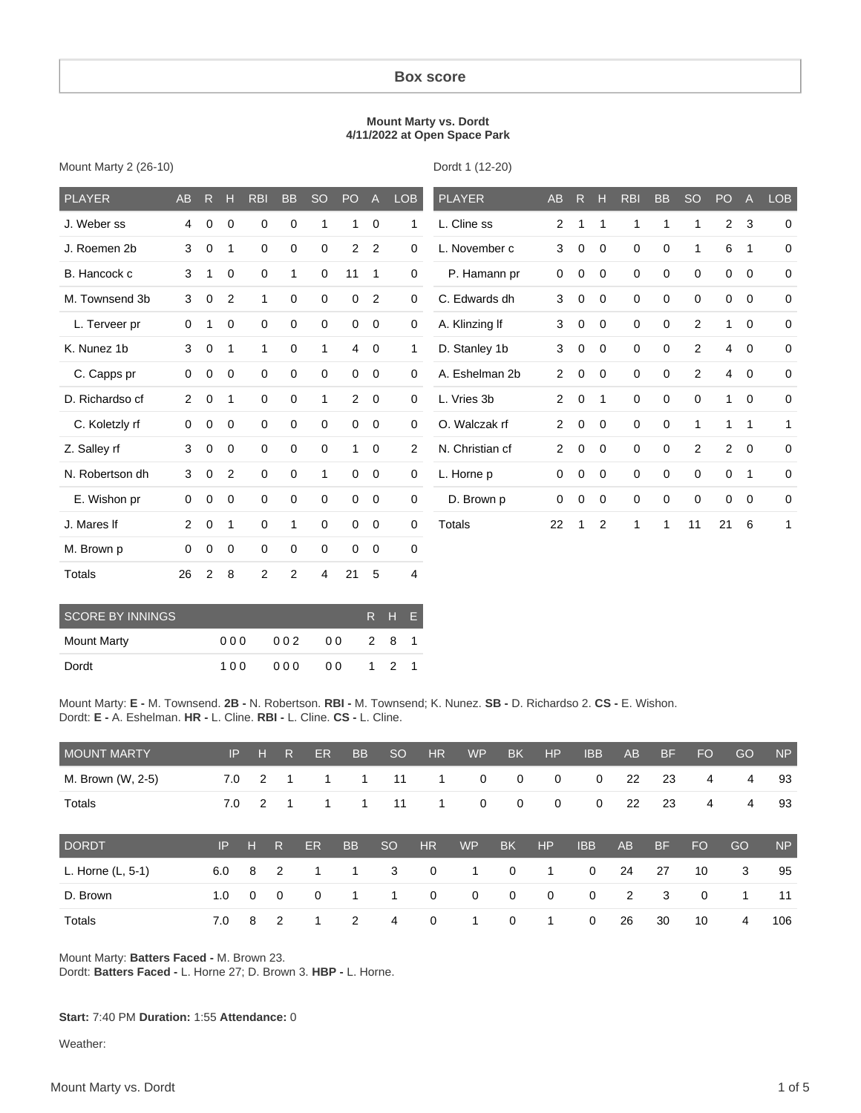#### **Box score**

#### **Mount Marty vs. Dordt 4/11/2022 at Open Space Park**

|  |  |  | Mount Marty 2 (26-10) |
|--|--|--|-----------------------|
|--|--|--|-----------------------|

Dordt 1 (12-20)

| <b>PLAYER</b>   | <b>AB</b>      | R.          | н           | <b>RBI</b>     | <b>BB</b>      | <b>SO</b>    | PO <sub>1</sub> | $\overline{A}$ | <b>LOB</b>     | <b>PLAYER</b>   | AB             | R           | н              | <b>RBI</b>  | <b>BB</b>   | <b>SO</b>      | PO             | $\overline{A}$ | <b>LOB</b>  |
|-----------------|----------------|-------------|-------------|----------------|----------------|--------------|-----------------|----------------|----------------|-----------------|----------------|-------------|----------------|-------------|-------------|----------------|----------------|----------------|-------------|
| J. Weber ss     | 4              | 0           | 0           | 0              | 0              | 1            |                 | 0              | 1              | L. Cline ss     | $\overline{2}$ | 1           | 1              | 1           | 1           | 1              | $\overline{2}$ | 3              | $\mathbf 0$ |
| J. Roemen 2b    | 3              | 0           | 1           | 0              | 0              | 0            | $\overline{2}$  | 2              | $\mathbf 0$    | L. November c   | 3              | $\mathbf 0$ | $\mathbf 0$    | 0           | 0           | $\mathbf{1}$   | 6              | $\overline{1}$ | $\mathbf 0$ |
| B. Hancock c    | 3              | 1           | $\mathbf 0$ | $\mathbf 0$    | 1              | $\mathbf 0$  | 11              | $\overline{1}$ | $\mathbf 0$    | P. Hamann pr    | 0              | 0           | $\mathbf 0$    | $\mathbf 0$ | $\mathbf 0$ | $\mathbf 0$    | $\mathbf 0$    | $\mathbf 0$    | $\mathbf 0$ |
| M. Townsend 3b  | 3              | 0           | 2           | $\mathbf{1}$   | $\mathbf 0$    | $\Omega$     | 0               | 2              | $\mathbf 0$    | C. Edwards dh   | 3              | 0           | $\mathbf 0$    | $\mathbf 0$ | $\mathbf 0$ | $\mathbf 0$    | $\mathbf 0$    | $\mathbf 0$    | $\mathbf 0$ |
| L. Terveer pr   | $\mathbf 0$    | 1           | 0           | $\mathbf 0$    | 0              | 0            | 0               | $\overline{0}$ | $\mathbf 0$    | A. Klinzing If  | 3              | 0           | $\mathbf 0$    | $\mathbf 0$ | 0           | $\overline{2}$ | 1              | $\mathbf 0$    | $\mathbf 0$ |
| K. Nunez 1b     | 3              | $\mathbf 0$ | 1           | $\mathbf{1}$   | $\mathbf 0$    | $\mathbf{1}$ | $\overline{4}$  | $\overline{0}$ | 1              | D. Stanley 1b   | 3              | $\mathbf 0$ | $\mathbf 0$    | $\mathbf 0$ | $\mathbf 0$ | $\overline{2}$ | $\overline{4}$ | $\overline{0}$ | $\mathbf 0$ |
| C. Capps pr     | $\mathbf 0$    | 0           | $\mathbf 0$ | $\mathbf 0$    | 0              | 0            | 0               | $\mathbf 0$    | $\mathbf 0$    | A. Eshelman 2b  | $\overline{2}$ | 0           | $\mathbf 0$    | 0           | $\mathbf 0$ | $\overline{2}$ | 4              | $\mathbf 0$    | $\mathbf 0$ |
| D. Richardso cf | $\overline{2}$ | $\mathbf 0$ | 1           | 0              | 0              | 1            | 2               | $\overline{0}$ | $\mathbf 0$    | L. Vries 3b     | $\overline{2}$ | 0           | $\overline{1}$ | $\mathbf 0$ | 0           | 0              | 1              | $\mathbf 0$    | 0           |
| C. Koletzly rf  | $\mathbf 0$    | 0           | $\mathbf 0$ | $\mathbf 0$    | $\mathbf 0$    | $\mathbf 0$  | $\mathbf 0$     | $\overline{0}$ | $\mathbf 0$    | O. Walczak rf   | $\overline{2}$ | $\mathbf 0$ | $\mathbf 0$    | $\mathbf 0$ | $\mathbf 0$ | $\mathbf{1}$   | 1              | $\mathbf{1}$   | 1           |
| Z. Salley rf    | 3              | $\mathbf 0$ | $\mathbf 0$ | $\mathbf 0$    | $\mathbf 0$    | 0            | 1               | $\mathbf 0$    | $\overline{2}$ | N. Christian cf | $\overline{2}$ | 0           | $\mathbf 0$    | $\mathbf 0$ | $\mathbf 0$ | 2              | 2              | $\overline{0}$ | $\mathbf 0$ |
| N. Robertson dh | 3              | $\mathbf 0$ | 2           | $\mathbf 0$    | $\mathbf 0$    | $\mathbf{1}$ | $\mathbf 0$     | $\mathbf 0$    | $\mathbf 0$    | L. Horne p      | $\mathbf 0$    | $\mathbf 0$ | $\mathbf 0$    | $\mathbf 0$ | $\mathbf 0$ | $\mathbf 0$    | $\mathbf 0$    | $\overline{1}$ | $\mathbf 0$ |
| E. Wishon pr    | $\mathbf 0$    | 0           | $\mathbf 0$ | $\mathbf 0$    | 0              | 0            | 0               | $\overline{0}$ | $\mathbf 0$    | D. Brown p      | 0              | 0           | $\mathbf 0$    | 0           | 0           | $\mathbf 0$    | 0              | $\mathbf 0$    | 0           |
| J. Mares If     | $\overline{2}$ | 0           | 1           | $\mathbf 0$    | 1              | $\mathbf 0$  | 0               | $\overline{0}$ | 0              | Totals          | 22             | 1           | 2              | 1           | 1           | 11             | 21             | 6              | 1           |
| M. Brown p      | $\Omega$       | 0           | $\mathbf 0$ | $\mathbf 0$    | $\mathbf 0$    | $\Omega$     | $\Omega$        | $\mathbf 0$    | 0              |                 |                |             |                |             |             |                |                |                |             |
| <b>Totals</b>   | 26             | 2           | 8           | $\overline{2}$ | $\overline{2}$ | 4            | 21              | 5              | 4              |                 |                |             |                |             |             |                |                |                |             |

| <b>SCORE BY INNINGS</b> |     |     |      |       | R H F |  |
|-------------------------|-----|-----|------|-------|-------|--|
| Mount Marty             | 000 | 002 | 00 O | 281   |       |  |
| Dordt                   | 100 | 000 | 0 Q  | 1 2 1 |       |  |

Mount Marty: **E -** M. Townsend. **2B -** N. Robertson. **RBI -** M. Townsend; K. Nunez. **SB -** D. Richardso 2. **CS -** E. Wishon. Dordt: **E -** A. Eshelman. **HR -** L. Cline. **RBI -** L. Cline. **CS -** L. Cline.

| <b>MOUNT MARTY</b> | IP  | н              | R              | <b>ER</b> | <b>BB</b> | <sub>SO</sub> | <b>HR</b>      | <b>WP</b>   | <b>BK</b>    | HP           | <b>IBB</b>  | <b>AB</b> | <b>BF</b> | <b>FO</b> | GO | <b>NP</b> |
|--------------------|-----|----------------|----------------|-----------|-----------|---------------|----------------|-------------|--------------|--------------|-------------|-----------|-----------|-----------|----|-----------|
| M. Brown (W, 2-5)  | 7.0 | 2              |                |           |           | 11            | 1              | $\mathbf 0$ | $\mathbf 0$  | 0            | 0           | 22        | 23        | 4         | 4  | 93        |
| Totals             | 7.0 | $\overline{2}$ |                |           |           | 11            | 1              | $\mathbf 0$ | $\mathbf 0$  | 0            | 0           | 22        | 23        | 4         | 4  | 93        |
| <b>DORDT</b>       | IP  | н              | R              | <b>ER</b> |           |               |                |             |              |              |             |           |           |           |    |           |
|                    |     |                |                |           | <b>BB</b> | <sub>SO</sub> | <b>HR</b>      | <b>WP</b>   | <b>BK</b>    | <b>HP</b>    | <b>IBB</b>  | AB        | <b>BF</b> | <b>FO</b> | GO | <b>NP</b> |
| L. Horne (L, 5-1)  | 6.0 | 8              | $\overline{2}$ |           | 1.        | 3             | $\overline{0}$ | 1           | $\Omega$     | $\mathbf 1$  | 0           | 24        | 27        | 10        | 3  | 95        |
| D. Brown           | 1.0 | $\Omega$       | $\overline{0}$ | 0         | 1         | 1.            | $\mathbf 0$    | $\mathbf 0$ | $\mathbf{0}$ | $\mathbf{0}$ | $\mathbf 0$ | 2         | 3         | $\Omega$  | 1  | 11        |

Mount Marty: **Batters Faced -** M. Brown 23.

Dordt: **Batters Faced -** L. Horne 27; D. Brown 3. **HBP -** L. Horne.

#### **Start:** 7:40 PM **Duration:** 1:55 **Attendance:** 0

Weather: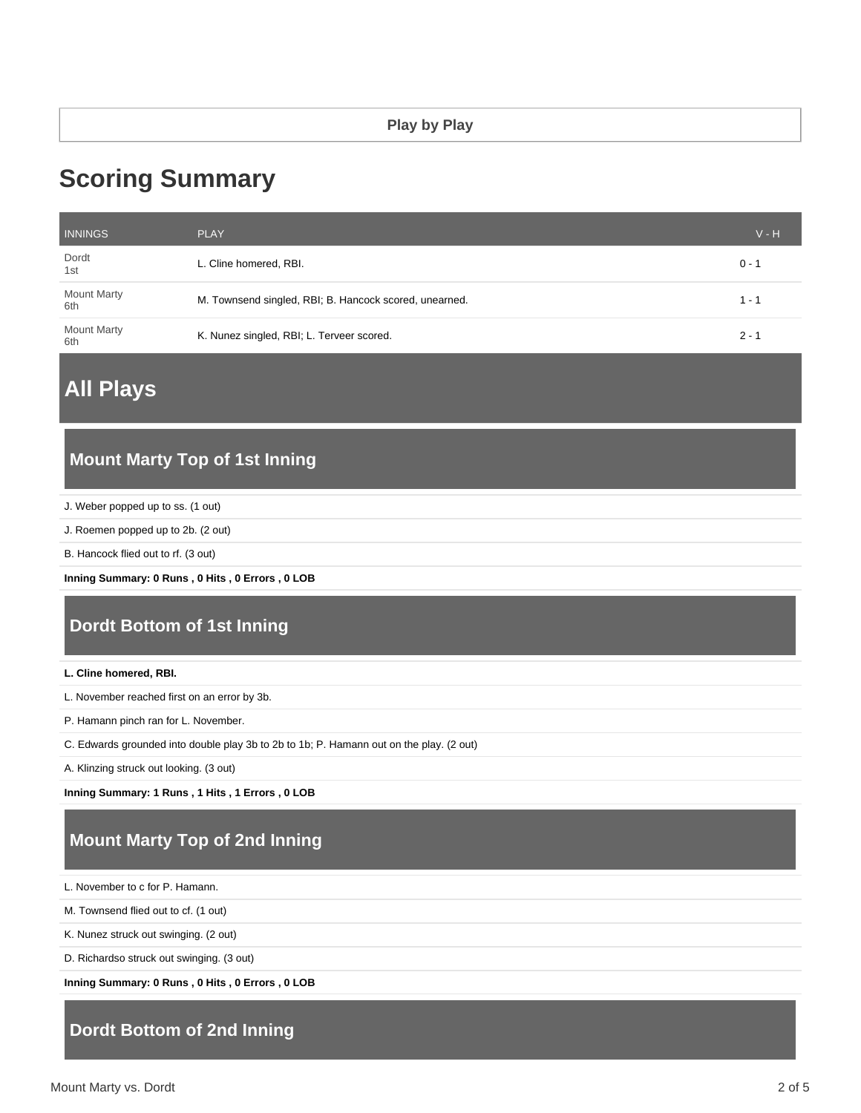# **Scoring Summary**

| <b>INNINGS</b>            | <b>PLAY</b>                                            | $V - H$ |
|---------------------------|--------------------------------------------------------|---------|
| Dordt<br>1st              | L. Cline homered, RBI.                                 | $0 - 1$ |
| <b>Mount Marty</b><br>6th | M. Townsend singled, RBI; B. Hancock scored, unearned. | 1 - 1   |
| <b>Mount Marty</b><br>6th | K. Nunez singled, RBI; L. Terveer scored.              | $2 - 1$ |

**All Plays**

#### **Mount Marty Top of 1st Inning**

J. Weber popped up to ss. (1 out)

J. Roemen popped up to 2b. (2 out)

B. Hancock flied out to rf. (3 out)

**Inning Summary: 0 Runs , 0 Hits , 0 Errors , 0 LOB**

### **Dordt Bottom of 1st Inning**

**L. Cline homered, RBI.**

L. November reached first on an error by 3b.

P. Hamann pinch ran for L. November.

C. Edwards grounded into double play 3b to 2b to 1b; P. Hamann out on the play. (2 out)

A. Klinzing struck out looking. (3 out)

**Inning Summary: 1 Runs , 1 Hits , 1 Errors , 0 LOB**

# **Mount Marty Top of 2nd Inning**

L. November to c for P. Hamann.

M. Townsend flied out to cf. (1 out)

K. Nunez struck out swinging. (2 out)

D. Richardso struck out swinging. (3 out)

**Inning Summary: 0 Runs , 0 Hits , 0 Errors , 0 LOB**

## **Dordt Bottom of 2nd Inning**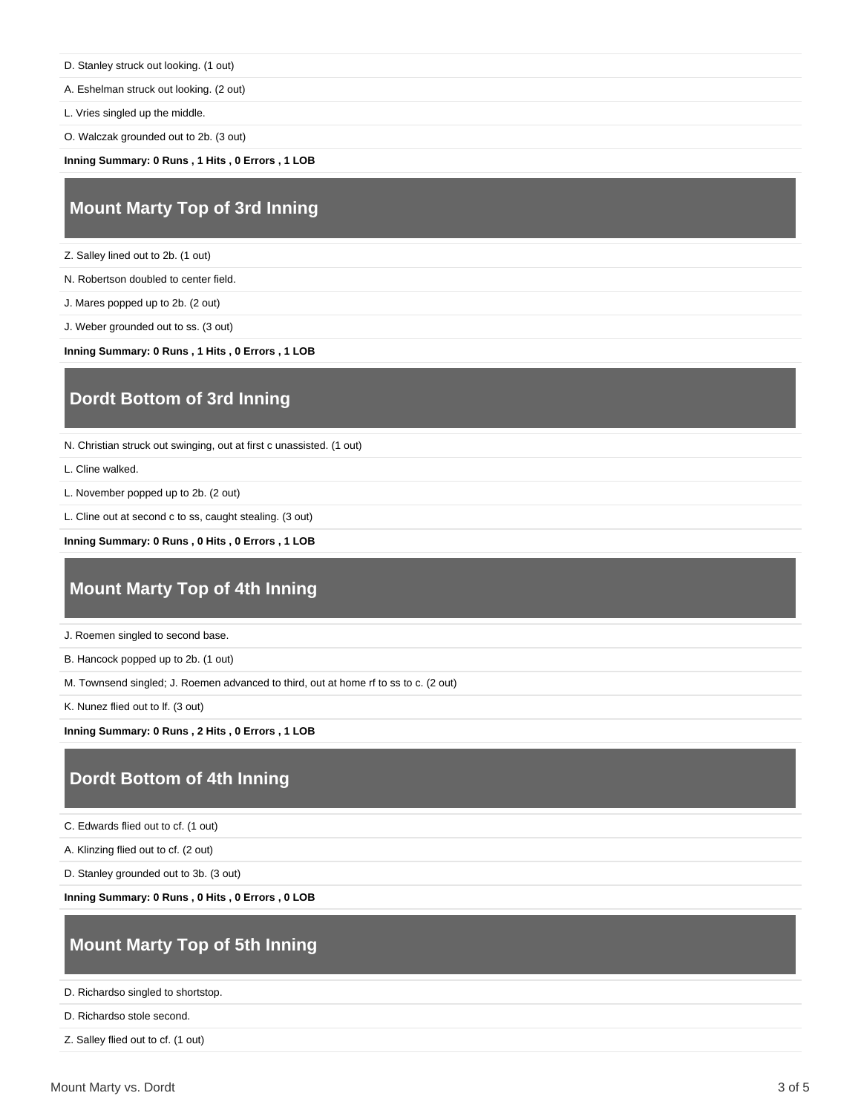D. Stanley struck out looking. (1 out)

A. Eshelman struck out looking. (2 out)

L. Vries singled up the middle.

O. Walczak grounded out to 2b. (3 out)

**Inning Summary: 0 Runs , 1 Hits , 0 Errors , 1 LOB**

### **Mount Marty Top of 3rd Inning**

Z. Salley lined out to 2b. (1 out)

N. Robertson doubled to center field.

J. Mares popped up to 2b. (2 out)

J. Weber grounded out to ss. (3 out)

**Inning Summary: 0 Runs , 1 Hits , 0 Errors , 1 LOB**

#### **Dordt Bottom of 3rd Inning**

N. Christian struck out swinging, out at first c unassisted. (1 out)

L. Cline walked.

L. November popped up to 2b. (2 out)

L. Cline out at second c to ss, caught stealing. (3 out)

**Inning Summary: 0 Runs , 0 Hits , 0 Errors , 1 LOB**

### **Mount Marty Top of 4th Inning**

J. Roemen singled to second base.

B. Hancock popped up to 2b. (1 out)

M. Townsend singled; J. Roemen advanced to third, out at home rf to ss to c. (2 out)

K. Nunez flied out to lf. (3 out)

**Inning Summary: 0 Runs , 2 Hits , 0 Errors , 1 LOB**

#### **Dordt Bottom of 4th Inning**

C. Edwards flied out to cf. (1 out)

A. Klinzing flied out to cf. (2 out)

D. Stanley grounded out to 3b. (3 out)

**Inning Summary: 0 Runs , 0 Hits , 0 Errors , 0 LOB**

## **Mount Marty Top of 5th Inning**

D. Richardso singled to shortstop.

```
D. Richardso stole second.
```
Z. Salley flied out to cf. (1 out)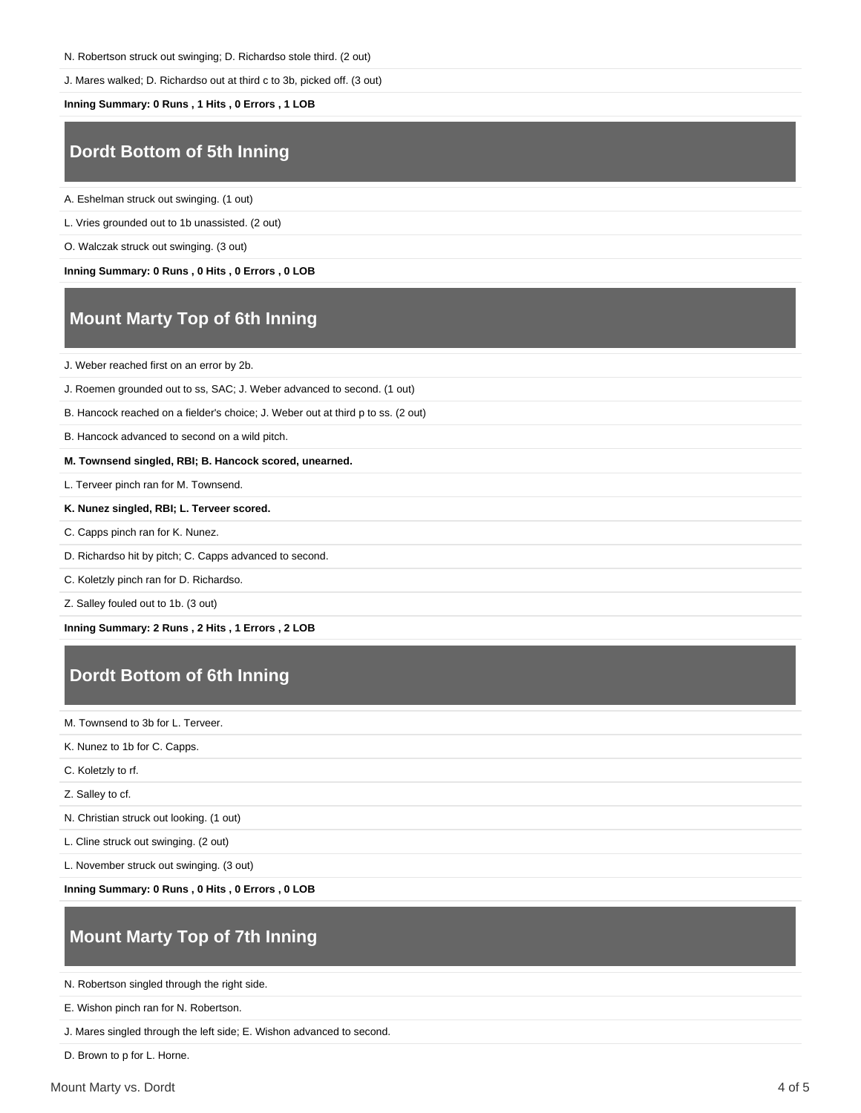N. Robertson struck out swinging; D. Richardso stole third. (2 out)

J. Mares walked; D. Richardso out at third c to 3b, picked off. (3 out)

**Inning Summary: 0 Runs , 1 Hits , 0 Errors , 1 LOB**

## **Dordt Bottom of 5th Inning**

A. Eshelman struck out swinging. (1 out)

L. Vries grounded out to 1b unassisted. (2 out)

O. Walczak struck out swinging. (3 out)

**Inning Summary: 0 Runs , 0 Hits , 0 Errors , 0 LOB**

# **Mount Marty Top of 6th Inning**

J. Weber reached first on an error by 2b.

J. Roemen grounded out to ss, SAC; J. Weber advanced to second. (1 out)

B. Hancock reached on a fielder's choice; J. Weber out at third p to ss. (2 out)

B. Hancock advanced to second on a wild pitch.

**M. Townsend singled, RBI; B. Hancock scored, unearned.**

L. Terveer pinch ran for M. Townsend.

**K. Nunez singled, RBI; L. Terveer scored.**

C. Capps pinch ran for K. Nunez.

D. Richardso hit by pitch; C. Capps advanced to second.

C. Koletzly pinch ran for D. Richardso.

Z. Salley fouled out to 1b. (3 out)

**Inning Summary: 2 Runs , 2 Hits , 1 Errors , 2 LOB**

### **Dordt Bottom of 6th Inning**

M. Townsend to 3b for L. Terveer.

K. Nunez to 1b for C. Capps.

C. Koletzly to rf.

Z. Salley to cf.

N. Christian struck out looking. (1 out)

L. Cline struck out swinging. (2 out)

L. November struck out swinging. (3 out)

**Inning Summary: 0 Runs , 0 Hits , 0 Errors , 0 LOB**

# **Mount Marty Top of 7th Inning**

N. Robertson singled through the right side.

E. Wishon pinch ran for N. Robertson.

J. Mares singled through the left side; E. Wishon advanced to second.

D. Brown to p for L. Horne.